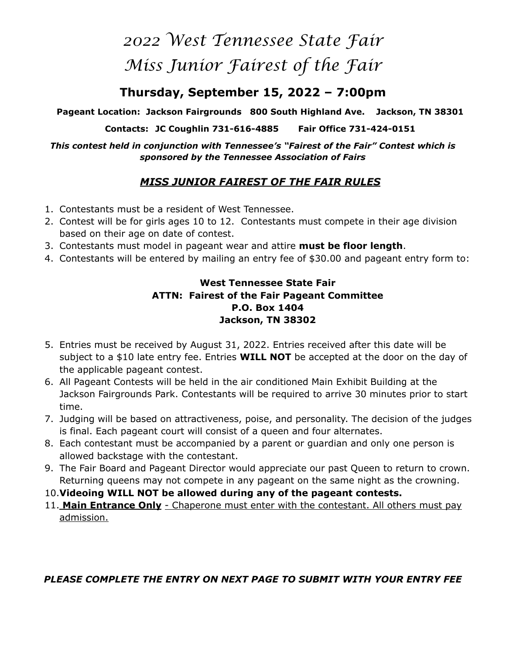# *2022 West Tennessee State Fair Miss Junior Fairest of the Fair*

# **Thursday, September 15, 2022 – 7:00pm**

**Pageant Location: Jackson Fairgrounds 800 South Highland Ave. Jackson, TN 38301** 

**Contacts: JC Coughlin 731-616-4885 Fair Office 731-424-0151** 

*This contest held in conjunction with Tennessee's "Fairest of the Fair" Contest which is sponsored by the Tennessee Association of Fairs* 

## *MISS JUNIOR FAIREST OF THE FAIR RULES*

- 1. Contestants must be a resident of West Tennessee.
- 2. Contest will be for girls ages 10 to 12. Contestants must compete in their age division based on their age on date of contest.
- 3. Contestants must model in pageant wear and attire **must be floor length**.
- 4. Contestants will be entered by mailing an entry fee of \$30.00 and pageant entry form to:

#### **West Tennessee State Fair ATTN: Fairest of the Fair Pageant Committee P.O. Box 1404 Jackson, TN 38302**

- 5. Entries must be received by August 31, 2022. Entries received after this date will be subject to a \$10 late entry fee. Entries **WILL NOT** be accepted at the door on the day of the applicable pageant contest.
- 6. All Pageant Contests will be held in the air conditioned Main Exhibit Building at the Jackson Fairgrounds Park. Contestants will be required to arrive 30 minutes prior to start time.
- 7. Judging will be based on attractiveness, poise, and personality. The decision of the judges is final. Each pageant court will consist of a queen and four alternates.
- 8. Each contestant must be accompanied by a parent or guardian and only one person is allowed backstage with the contestant.
- 9. The Fair Board and Pageant Director would appreciate our past Queen to return to crown. Returning queens may not compete in any pageant on the same night as the crowning.
- 10.**Videoing WILL NOT be allowed during any of the pageant contests.**
- 11. **Main Entrance Only** Chaperone must enter with the contestant. All others must pay admission.

### *PLEASE COMPLETE THE ENTRY ON NEXT PAGE TO SUBMIT WITH YOUR ENTRY FEE*